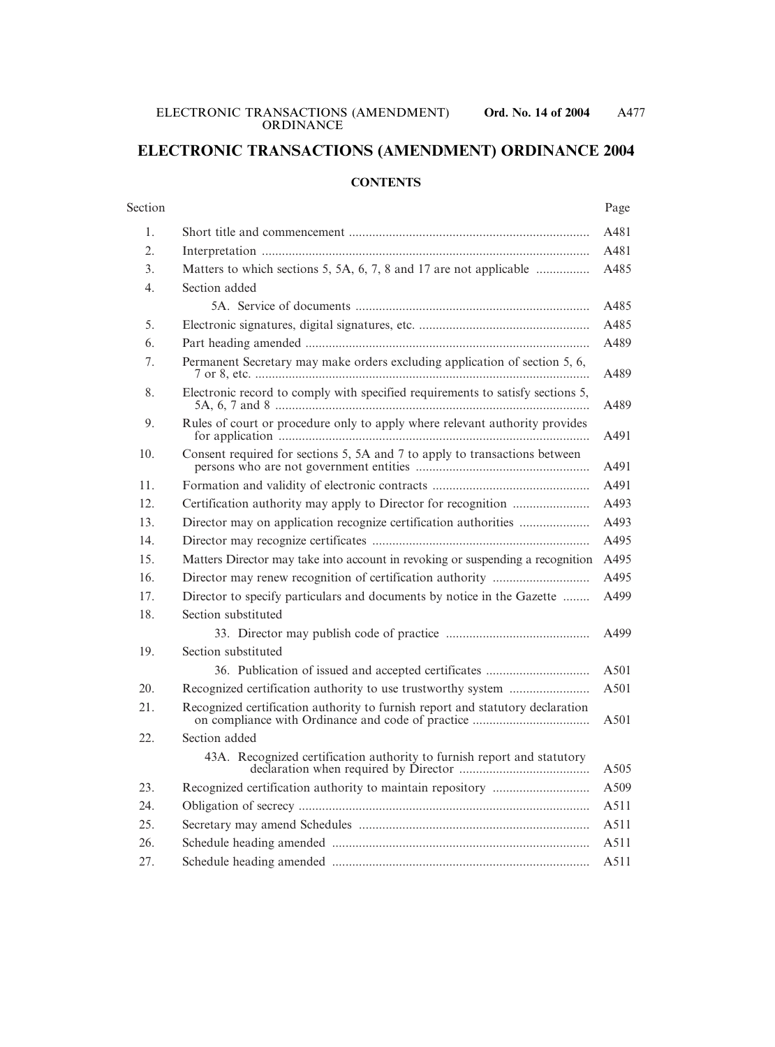# **ELECTRONIC TRANSACTIONS (AMENDMENT) ORDINANCE 2004**

#### **CONTENTS**

#### Section Page

| 1.  |                                                                                |  |  |
|-----|--------------------------------------------------------------------------------|--|--|
| 2.  |                                                                                |  |  |
| 3.  | Matters to which sections 5, 5A, 6, 7, 8 and 17 are not applicable             |  |  |
| 4.  | Section added                                                                  |  |  |
|     |                                                                                |  |  |
| 5.  |                                                                                |  |  |
| 6.  |                                                                                |  |  |
| 7.  | Permanent Secretary may make orders excluding application of section 5, 6,     |  |  |
| 8.  | Electronic record to comply with specified requirements to satisfy sections 5, |  |  |
| 9.  | Rules of court or procedure only to apply where relevant authority provides    |  |  |
| 10. | Consent required for sections 5, 5A and 7 to apply to transactions between     |  |  |
| 11. |                                                                                |  |  |
| 12. |                                                                                |  |  |
| 13. |                                                                                |  |  |
| 14. |                                                                                |  |  |
| 15. | Matters Director may take into account in revoking or suspending a recognition |  |  |
| 16. |                                                                                |  |  |
| 17. | Director to specify particulars and documents by notice in the Gazette         |  |  |
| 18. | Section substituted                                                            |  |  |
|     |                                                                                |  |  |
| 19. | Section substituted                                                            |  |  |
|     |                                                                                |  |  |
| 20. |                                                                                |  |  |
| 21. | Recognized certification authority to furnish report and statutory declaration |  |  |
| 22. | Section added                                                                  |  |  |
|     | 43A. Recognized certification authority to furnish report and statutory        |  |  |
| 23. |                                                                                |  |  |
| 24. |                                                                                |  |  |
| 25. |                                                                                |  |  |
| 26. |                                                                                |  |  |
| 27. |                                                                                |  |  |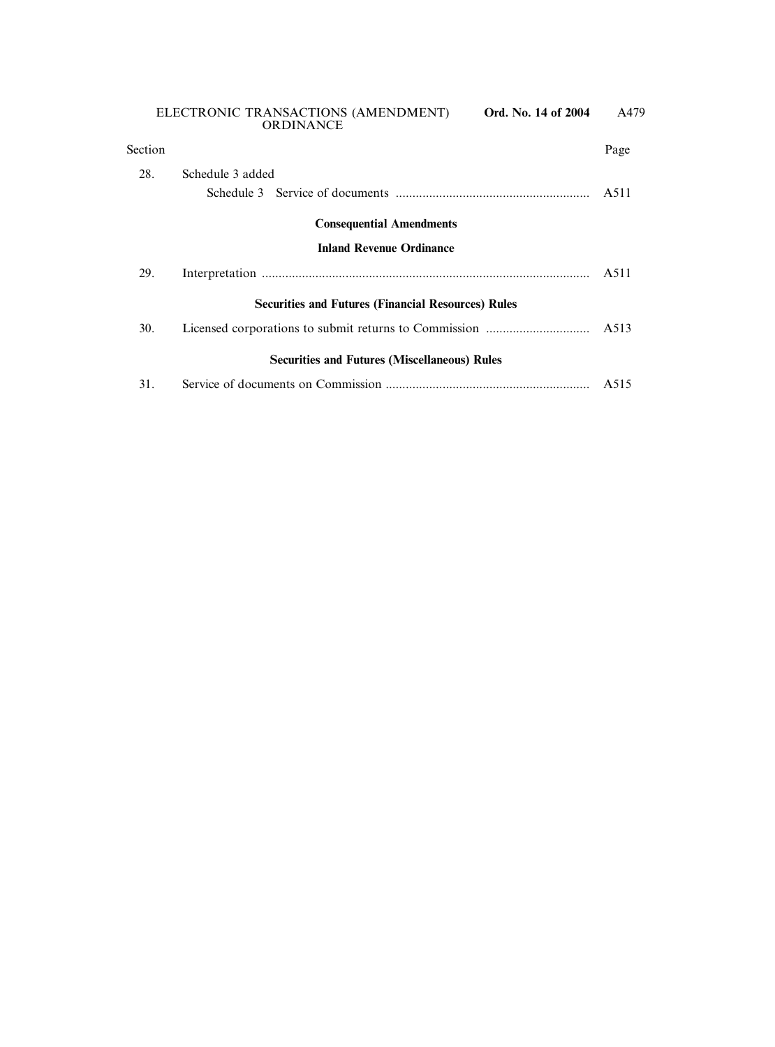| Section                                                   |                                                     | Page |  |  |  |
|-----------------------------------------------------------|-----------------------------------------------------|------|--|--|--|
| 28.                                                       | Schedule 3 added                                    | A511 |  |  |  |
|                                                           | <b>Consequential Amendments</b>                     |      |  |  |  |
| <b>Inland Revenue Ordinance</b>                           |                                                     |      |  |  |  |
| 29.                                                       |                                                     | A511 |  |  |  |
| <b>Securities and Futures (Financial Resources) Rules</b> |                                                     |      |  |  |  |
| 30.                                                       |                                                     | A513 |  |  |  |
|                                                           | <b>Securities and Futures (Miscellaneous) Rules</b> |      |  |  |  |
| 31.                                                       |                                                     | A515 |  |  |  |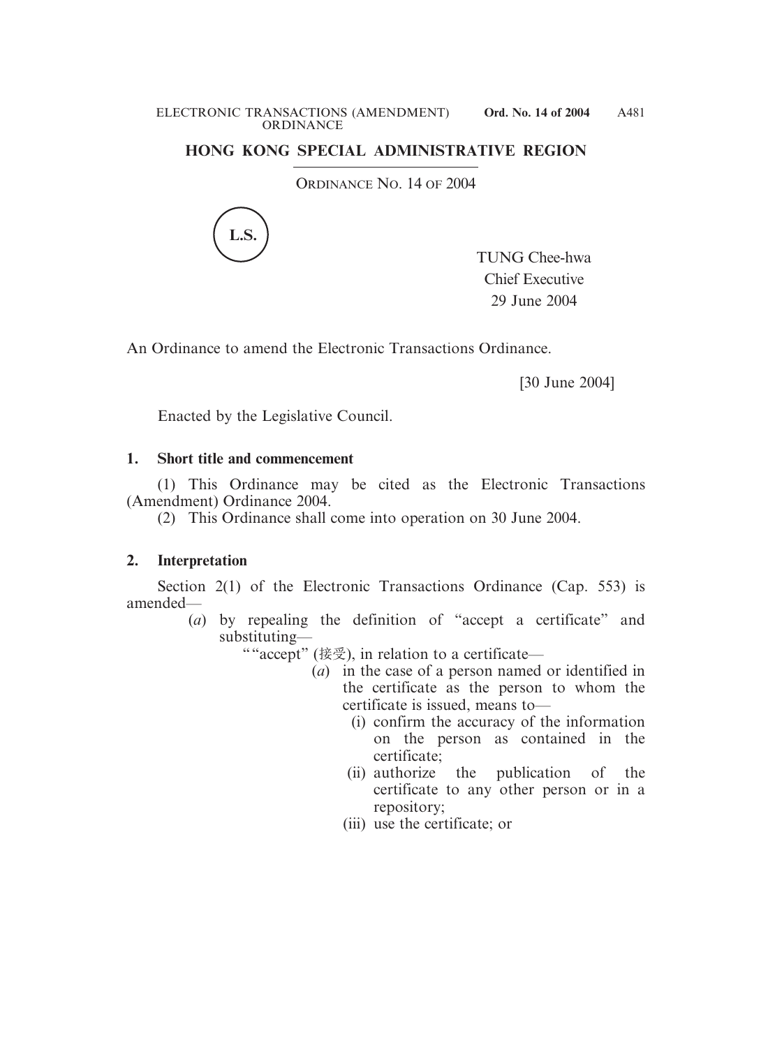## **HONG KONG SPECIAL ADMINISTRATIVE REGION**

ORDINANCE NO. 14 OF 2004



TUNG Chee-hwa Chief Executive 29 June 2004

An Ordinance to amend the Electronic Transactions Ordinance.

[30 June 2004]

Enacted by the Legislative Council.

### **1. Short title and commencement**

(1) This Ordinance may be cited as the Electronic Transactions (Amendment) Ordinance 2004.

(2) This Ordinance shall come into operation on 30 June 2004.

# **2. Interpretation**

Section 2(1) of the Electronic Transactions Ordinance (Cap. 553) is amended—

- (*a*) by repealing the definition of "accept a certificate" and substituting—
	- ""accept" (接受), in relation to a certificate—
		- (*a*) in the case of a person named or identified in the certificate as the person to whom the certificate is issued, means to—
			- (i) confirm the accuracy of the information on the person as contained in the certificate;
			- (ii) authorize the publication of the certificate to any other person or in a repository;
			- (iii) use the certificate; or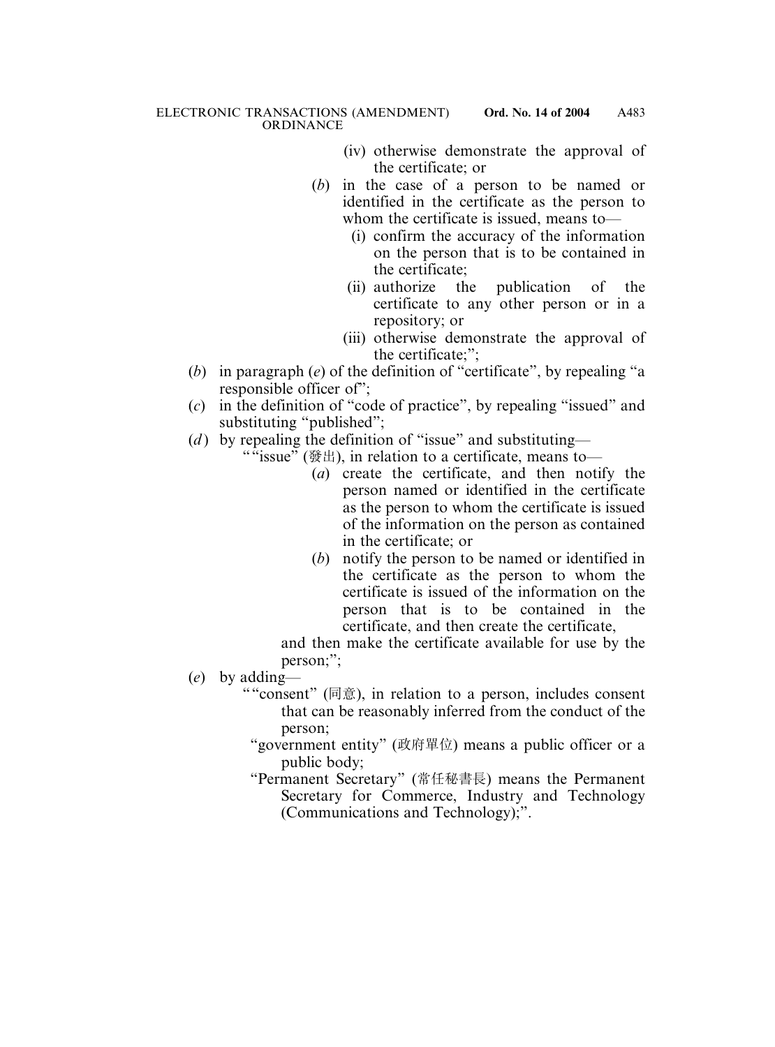- (iv) otherwise demonstrate the approval of the certificate; or
- (*b*) in the case of a person to be named or identified in the certificate as the person to whom the certificate is issued, means to—
	- (i) confirm the accuracy of the information on the person that is to be contained in the certificate;
	- (ii) authorize the publication of the certificate to any other person or in a repository; or
	- (iii) otherwise demonstrate the approval of the certificate;";
- (*b*) in paragraph (*e*) of the definition of "certificate", by repealing "a responsible officer of";
- (*c*) in the definition of "code of practice", by repealing "issued" and substituting "published";
- (*d*) by repealing the definition of "issue" and substituting—
	- ""issue" (發出), in relation to a certificate, means to-
		- (*a*) create the certificate, and then notify the person named or identified in the certificate as the person to whom the certificate is issued of the information on the person as contained in the certificate; or
		- (*b*) notify the person to be named or identified in the certificate as the person to whom the certificate is issued of the information on the person that is to be contained in the certificate, and then create the certificate,

and then make the certificate available for use by the person;";

- (*e*) by adding—
	- ""consent" (同意), in relation to a person, includes consent that can be reasonably inferred from the conduct of the person;
		- "government entity" (政府單位) means a public officer or a public body;
		- "Permanent Secretary" (常任秘書長) means the Permanent Secretary for Commerce, Industry and Technology (Communications and Technology);".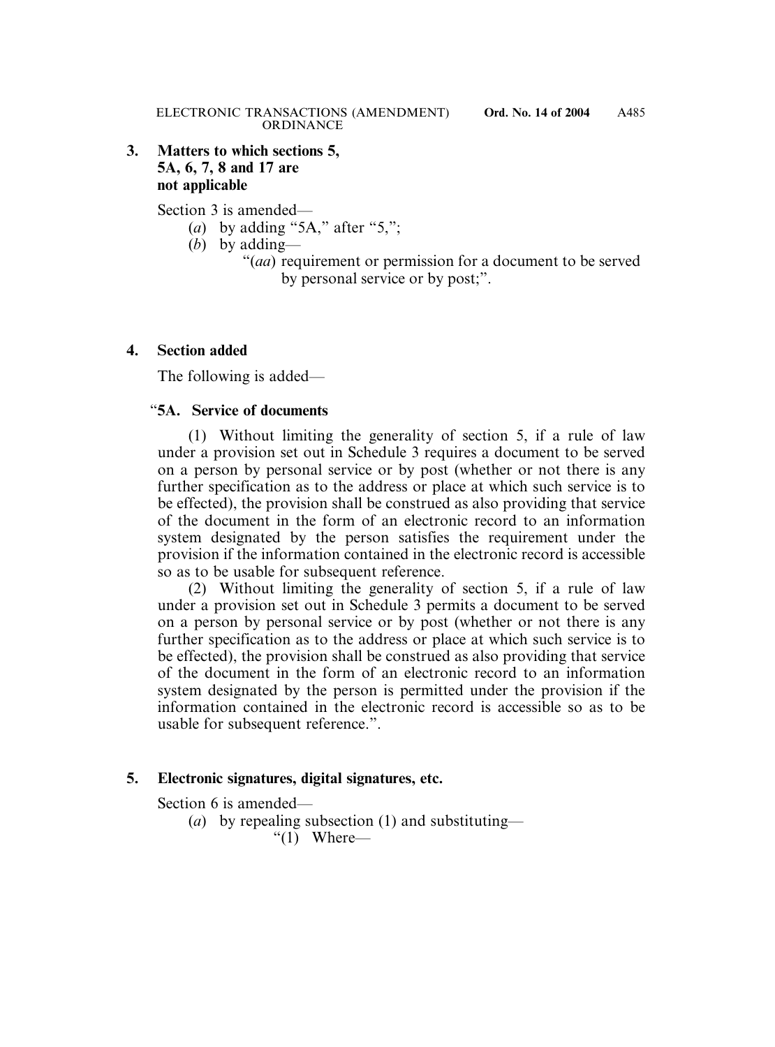### **3. Matters to which sections 5, 5A, 6, 7, 8 and 17 are not applicable**

Section 3 is amended—

- (*a*) by adding "5A," after "5,";
- (*b*) by adding—
	- "(*aa*) requirement or permission for a document to be served by personal service or by post;".

### **4. Section added**

The following is added—

### "**5A. Service of documents**

(1) Without limiting the generality of section 5, if a rule of law under a provision set out in Schedule 3 requires a document to be served on a person by personal service or by post (whether or not there is any further specification as to the address or place at which such service is to be effected), the provision shall be construed as also providing that service of the document in the form of an electronic record to an information system designated by the person satisfies the requirement under the provision if the information contained in the electronic record is accessible so as to be usable for subsequent reference.

(2) Without limiting the generality of section 5, if a rule of law under a provision set out in Schedule 3 permits a document to be served on a person by personal service or by post (whether or not there is any further specification as to the address or place at which such service is to be effected), the provision shall be construed as also providing that service of the document in the form of an electronic record to an information system designated by the person is permitted under the provision if the information contained in the electronic record is accessible so as to be usable for subsequent reference.".

#### **5. Electronic signatures, digital signatures, etc.**

Section 6 is amended—

(*a*) by repealing subsection (1) and substituting—

" $(1)$  Where—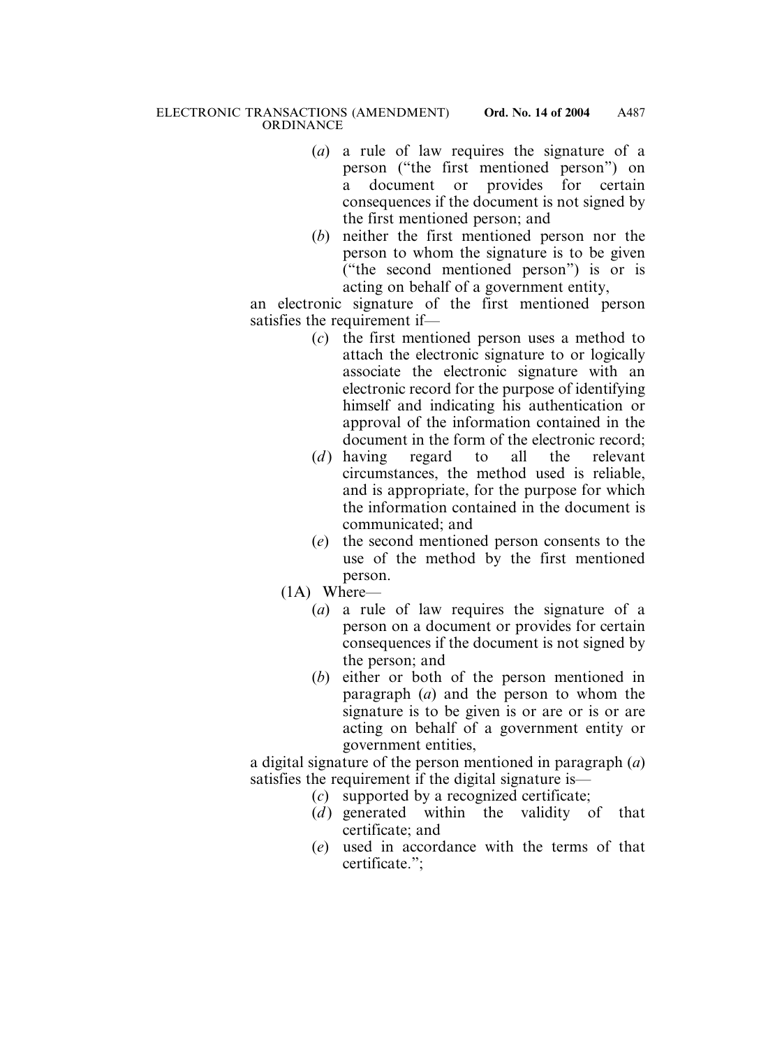- (*a*) a rule of law requires the signature of a person ("the first mentioned person") on a document or provides for certain consequences if the document is not signed by the first mentioned person; and
- (*b*) neither the first mentioned person nor the person to whom the signature is to be given ("the second mentioned person") is or is acting on behalf of a government entity,

an electronic signature of the first mentioned person satisfies the requirement if—

- (*c*) the first mentioned person uses a method to attach the electronic signature to or logically associate the electronic signature with an electronic record for the purpose of identifying himself and indicating his authentication or approval of the information contained in the document in the form of the electronic record;
- (*d*) having regard to all the relevant circumstances, the method used is reliable, and is appropriate, for the purpose for which the information contained in the document is communicated; and
- (*e*) the second mentioned person consents to the use of the method by the first mentioned person.
- (1A) Where—
	- (*a*) a rule of law requires the signature of a person on a document or provides for certain consequences if the document is not signed by the person; and
	- (*b*) either or both of the person mentioned in paragraph (*a*) and the person to whom the signature is to be given is or are or is or are acting on behalf of a government entity or government entities,

a digital signature of the person mentioned in paragraph (*a*) satisfies the requirement if the digital signature is—

- (*c*) supported by a recognized certificate;
- (*d*) generated within the validity of that certificate; and
- (*e*) used in accordance with the terms of that certificate.";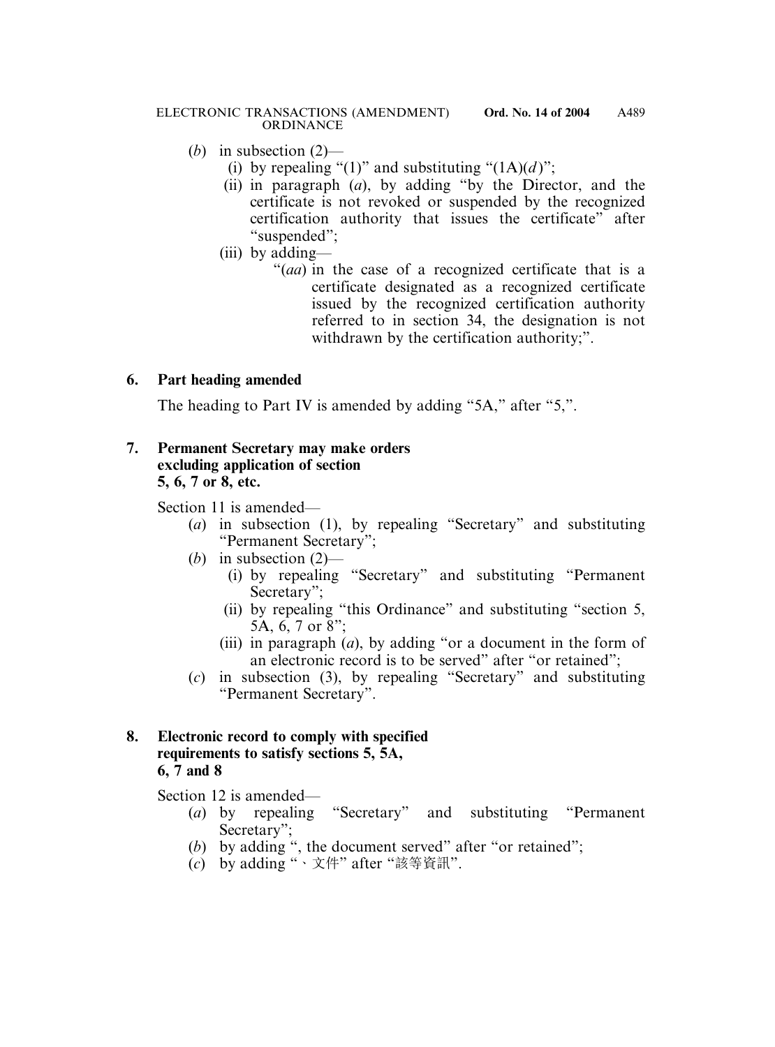- (*b*) in subsection (2)—
	- (i) by repealing "(1)" and substituting " $(1A)(d)$ ";
	- (ii) in paragraph (*a*), by adding "by the Director, and the certificate is not revoked or suspended by the recognized certification authority that issues the certificate" after "suspended";
	- (iii) by adding—
		- "(*aa*) in the case of a recognized certificate that is a certificate designated as a recognized certificate issued by the recognized certification authority referred to in section 34, the designation is not withdrawn by the certification authority;".

# **6. Part heading amended**

The heading to Part IV is amended by adding "5A," after "5,".

### **7. Permanent Secretary may make orders excluding application of section 5, 6, 7 or 8, etc.**

Section 11 is amended—

- (*a*) in subsection (1), by repealing "Secretary" and substituting "Permanent Secretary";
- (*b*) in subsection (2)—
	- (i) by repealing "Secretary" and substituting "Permanent Secretary";
	- (ii) by repealing "this Ordinance" and substituting "section 5, 5A, 6, 7 or 8";
	- (iii) in paragraph (*a*), by adding "or a document in the form of an electronic record is to be served" after "or retained";
- (*c*) in subsection (3), by repealing "Secretary" and substituting "Permanent Secretary".

### **8. Electronic record to comply with specified requirements to satisfy sections 5, 5A, 6, 7 and 8**

Section 12 is amended—

- (*a*) by repealing "Secretary" and substituting "Permanent Secretary";
- (*b*) by adding ", the document served" after "or retained";
- (*c*) by adding "、文件" after "該等資訊".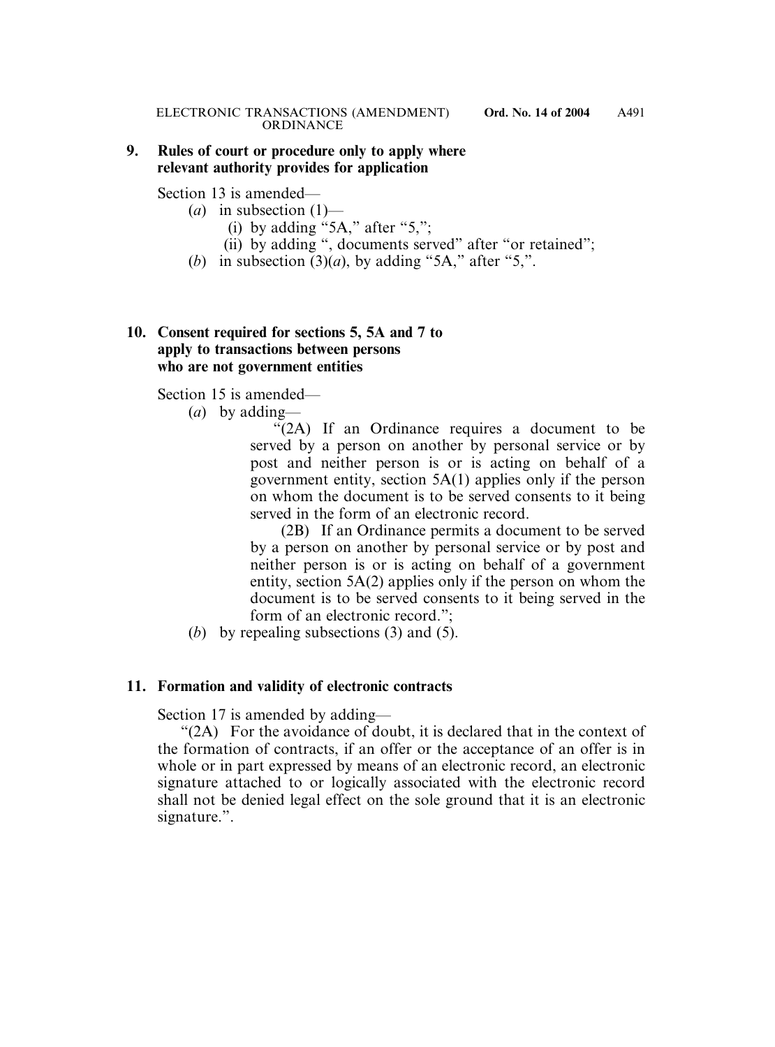#### **9. Rules of court or procedure only to apply where relevant authority provides for application**

Section 13 is amended—

- $(a)$  in subsection  $(1)$ 
	- (i) by adding "5A," after "5,";
	- (ii) by adding ", documents served" after "or retained";
- (*b*) in subsection  $(3)(a)$ , by adding "5A," after "5,".

#### **10. Consent required for sections 5, 5A and 7 to apply to transactions between persons who are not government entities**

Section 15 is amended—

(*a*) by adding—

"(2A) If an Ordinance requires a document to be served by a person on another by personal service or by post and neither person is or is acting on behalf of a government entity, section 5A(1) applies only if the person on whom the document is to be served consents to it being served in the form of an electronic record.

(2B) If an Ordinance permits a document to be served by a person on another by personal service or by post and neither person is or is acting on behalf of a government entity, section 5A(2) applies only if the person on whom the document is to be served consents to it being served in the form of an electronic record.";

(*b*) by repealing subsections (3) and (5).

#### **11. Formation and validity of electronic contracts**

Section 17 is amended by adding—

"(2A) For the avoidance of doubt, it is declared that in the context of the formation of contracts, if an offer or the acceptance of an offer is in whole or in part expressed by means of an electronic record, an electronic signature attached to or logically associated with the electronic record shall not be denied legal effect on the sole ground that it is an electronic signature.".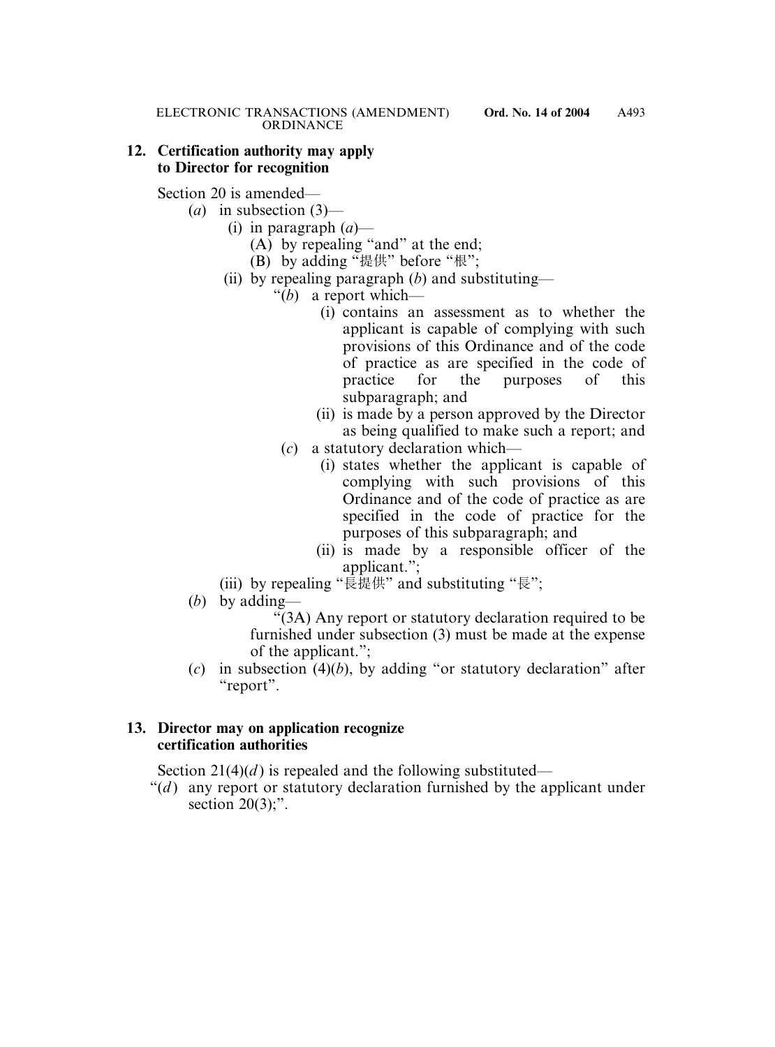#### **12. Certification authority may apply to Director for recognition**

Section 20 is amended—

- (*a*) in subsection (3)—
	- (i) in paragraph (*a*)—
		- (A) by repealing "and" at the end;
		- (B) by adding "提供" before "根";
	- (ii) by repealing paragraph (*b*) and substituting—
		- "(*b*) a report which—
			- (i) contains an assessment as to whether the applicant is capable of complying with such provisions of this Ordinance and of the code of practice as are specified in the code of practice for the purposes of this subparagraph; and
			- (ii) is made by a person approved by the Director as being qualified to make such a report; and
			- (*c*) a statutory declaration which—
				- (i) states whether the applicant is capable of complying with such provisions of this Ordinance and of the code of practice as are specified in the code of practice for the purposes of this subparagraph; and
				- (ii) is made by a responsible officer of the applicant.";
	- (iii) by repealing "長提供" and substituting "長";
- (*b*) by adding—

"(3A) Any report or statutory declaration required to be furnished under subsection (3) must be made at the expense of the applicant.";

(*c*) in subsection (4)(*b*), by adding "or statutory declaration" after "report".

### **13. Director may on application recognize certification authorities**

Section  $21(4)(d)$  is repealed and the following substituted—

" $(d)$  any report or statutory declaration furnished by the applicant under section  $20(3)$ ;".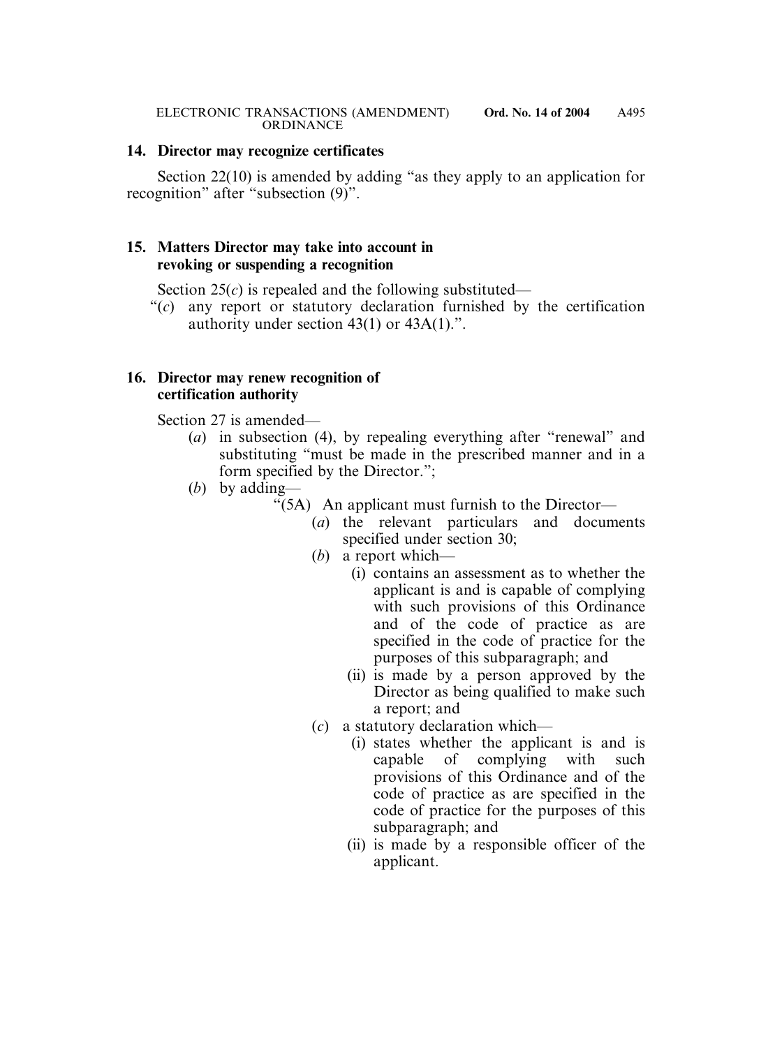#### **14. Director may recognize certificates**

Section 22(10) is amended by adding "as they apply to an application for recognition" after "subsection (9)".

#### **15. Matters Director may take into account in revoking or suspending a recognition**

Section  $25(c)$  is repealed and the following substituted—

"(*c*) any report or statutory declaration furnished by the certification authority under section 43(1) or 43A(1).".

#### **16. Director may renew recognition of certification authority**

Section 27 is amended—

- (*a*) in subsection (4), by repealing everything after "renewal" and substituting "must be made in the prescribed manner and in a form specified by the Director.";
- (*b*) by adding—
	- " $(5A)$  An applicant must furnish to the Director-
		- (*a*) the relevant particulars and documents specified under section 30;
		- (*b*) a report which—
			- (i) contains an assessment as to whether the applicant is and is capable of complying with such provisions of this Ordinance and of the code of practice as are specified in the code of practice for the purposes of this subparagraph; and
			- (ii) is made by a person approved by the Director as being qualified to make such a report; and
		- (*c*) a statutory declaration which—
			- (i) states whether the applicant is and is capable of complying with such provisions of this Ordinance and of the code of practice as are specified in the code of practice for the purposes of this subparagraph; and
			- (ii) is made by a responsible officer of the applicant.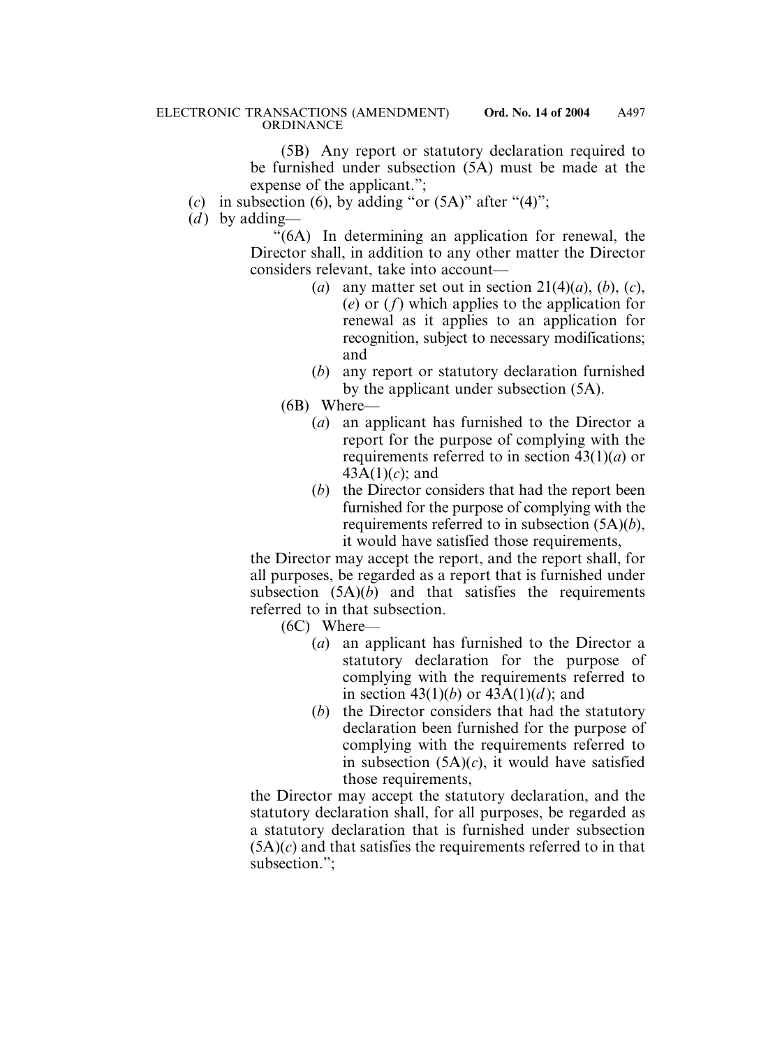(5B) Any report or statutory declaration required to be furnished under subsection (5A) must be made at the expense of the applicant.";

- (*c*) in subsection (6), by adding "or  $(5A)$ " after " $(4)$ ";
- (*d*) by adding—

"(6A) In determining an application for renewal, the Director shall, in addition to any other matter the Director considers relevant, take into account—

- (*a*) any matter set out in section  $21(4)(a)$ , (*b*), (*c*), (*e*) or (*f*) which applies to the application for renewal as it applies to an application for recognition, subject to necessary modifications; and
- (*b*) any report or statutory declaration furnished by the applicant under subsection (5A).

(6B) Where—

- (*a*) an applicant has furnished to the Director a report for the purpose of complying with the requirements referred to in section 43(1)(*a*) or 43A(1)(*c*); and
- (*b*) the Director considers that had the report been furnished for the purpose of complying with the requirements referred to in subsection (5A)(*b*), it would have satisfied those requirements,

the Director may accept the report, and the report shall, for all purposes, be regarded as a report that is furnished under subsection  $(5A)(b)$  and that satisfies the requirements referred to in that subsection.

(6C) Where—

- (*a*) an applicant has furnished to the Director a statutory declaration for the purpose of complying with the requirements referred to in section  $43(1)(b)$  or  $43A(1)(d)$ ; and
- (*b*) the Director considers that had the statutory declaration been furnished for the purpose of complying with the requirements referred to in subsection (5A)(*c*), it would have satisfied those requirements,

the Director may accept the statutory declaration, and the statutory declaration shall, for all purposes, be regarded as a statutory declaration that is furnished under subsection  $(5A)(c)$  and that satisfies the requirements referred to in that subsection.";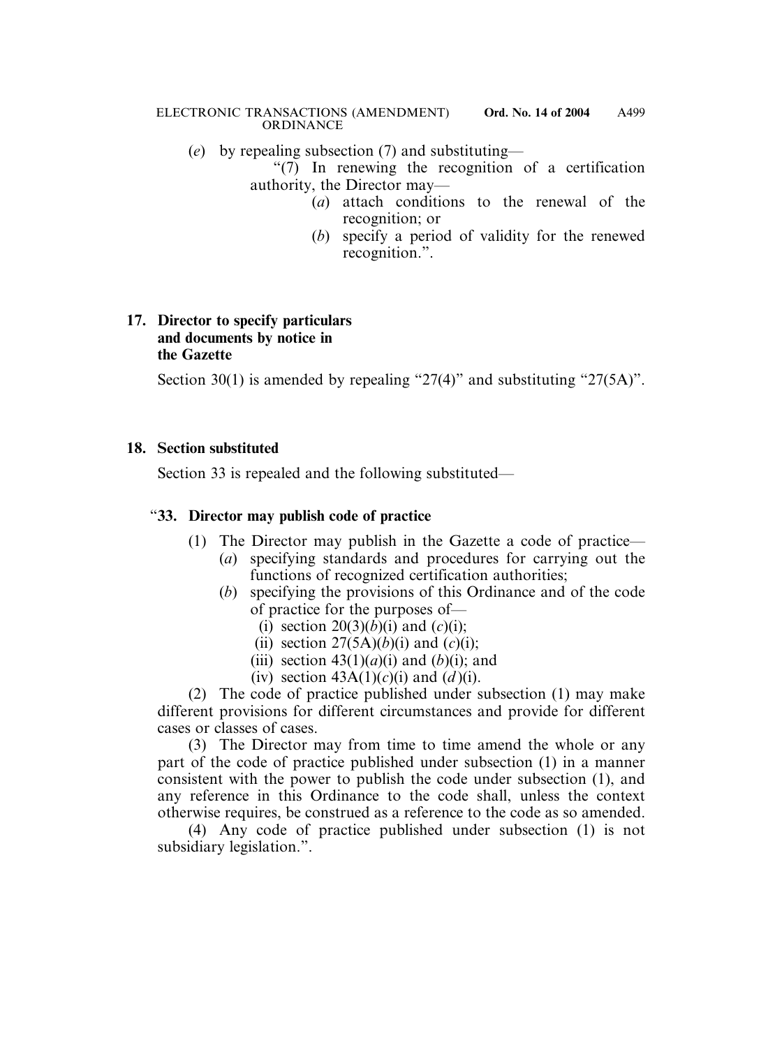(*e*) by repealing subsection (7) and substituting—

"(7) In renewing the recognition of a certification authority, the Director may—

- (*a*) attach conditions to the renewal of the recognition; or
	- (*b*) specify a period of validity for the renewed recognition.".

### **17. Director to specify particulars and documents by notice in the Gazette**

Section 30(1) is amended by repealing "27(4)" and substituting "27(5A)".

## **18. Section substituted**

Section 33 is repealed and the following substituted—

# "**33. Director may publish code of practice**

- (1) The Director may publish in the Gazette a code of practice—
	- (*a*) specifying standards and procedures for carrying out the functions of recognized certification authorities;
	- (*b*) specifying the provisions of this Ordinance and of the code of practice for the purposes of—
		- (i) section  $20(3)(b)(i)$  and  $(c)(i)$ ;
		- (ii) section  $27(5A)(b)(i)$  and  $(c)(i)$ ;
		- (iii) section  $43(1)(a)(i)$  and  $(b)(i)$ ; and
		- (iv) section  $43A(1)(c)(i)$  and  $(d)(i)$ .

(2) The code of practice published under subsection (1) may make different provisions for different circumstances and provide for different cases or classes of cases.

(3) The Director may from time to time amend the whole or any part of the code of practice published under subsection (1) in a manner consistent with the power to publish the code under subsection (1), and any reference in this Ordinance to the code shall, unless the context otherwise requires, be construed as a reference to the code as so amended.

(4) Any code of practice published under subsection (1) is not subsidiary legislation.".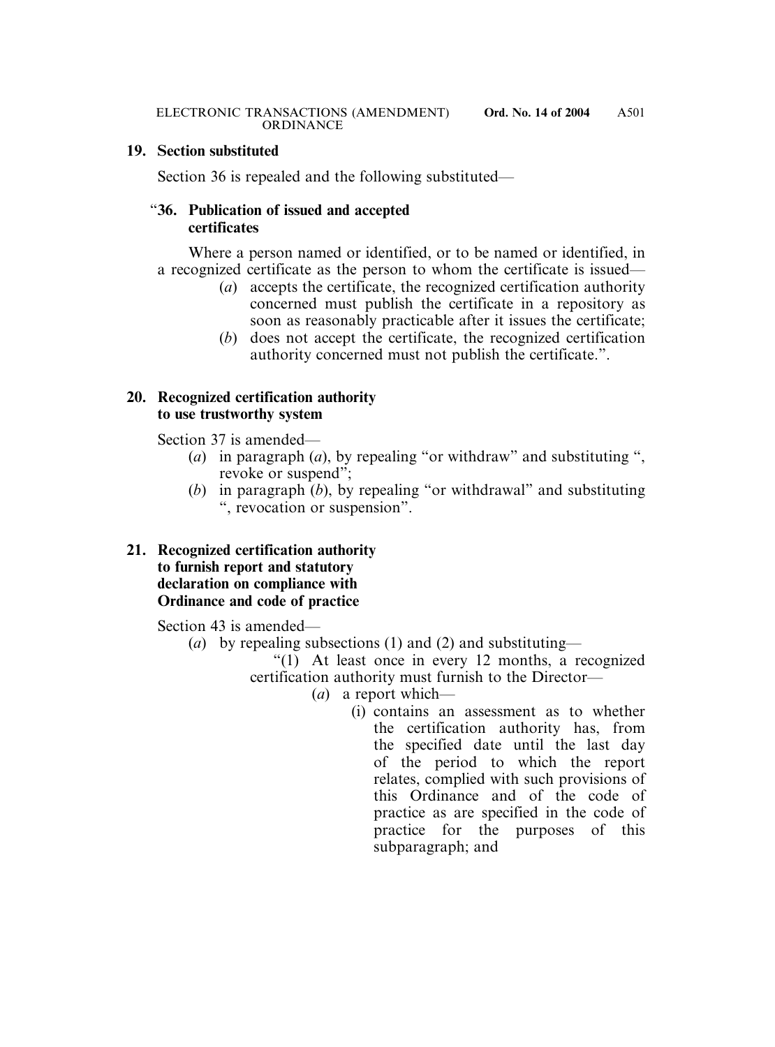#### **19. Section substituted**

Section 36 is repealed and the following substituted—

### "**36. Publication of issued and accepted certificates**

Where a person named or identified, or to be named or identified, in a recognized certificate as the person to whom the certificate is issued—

- (*a*) accepts the certificate, the recognized certification authority concerned must publish the certificate in a repository as soon as reasonably practicable after it issues the certificate;
- (*b*) does not accept the certificate, the recognized certification authority concerned must not publish the certificate.".

### **20. Recognized certification authority to use trustworthy system**

Section 37 is amended—

- (*a*) in paragraph (*a*), by repealing "or withdraw" and substituting ", revoke or suspend";
- (*b*) in paragraph (*b*), by repealing "or withdrawal" and substituting ", revocation or suspension".

### **21. Recognized certification authority to furnish report and statutory declaration on compliance with Ordinance and code of practice**

Section 43 is amended—

(*a*) by repealing subsections (1) and (2) and substituting—

"(1) At least once in every 12 months, a recognized certification authority must furnish to the Director—

- (*a*) a report which—
	- (i) contains an assessment as to whether the certification authority has, from the specified date until the last day of the period to which the report relates, complied with such provisions of this Ordinance and of the code of practice as are specified in the code of practice for the purposes of this subparagraph; and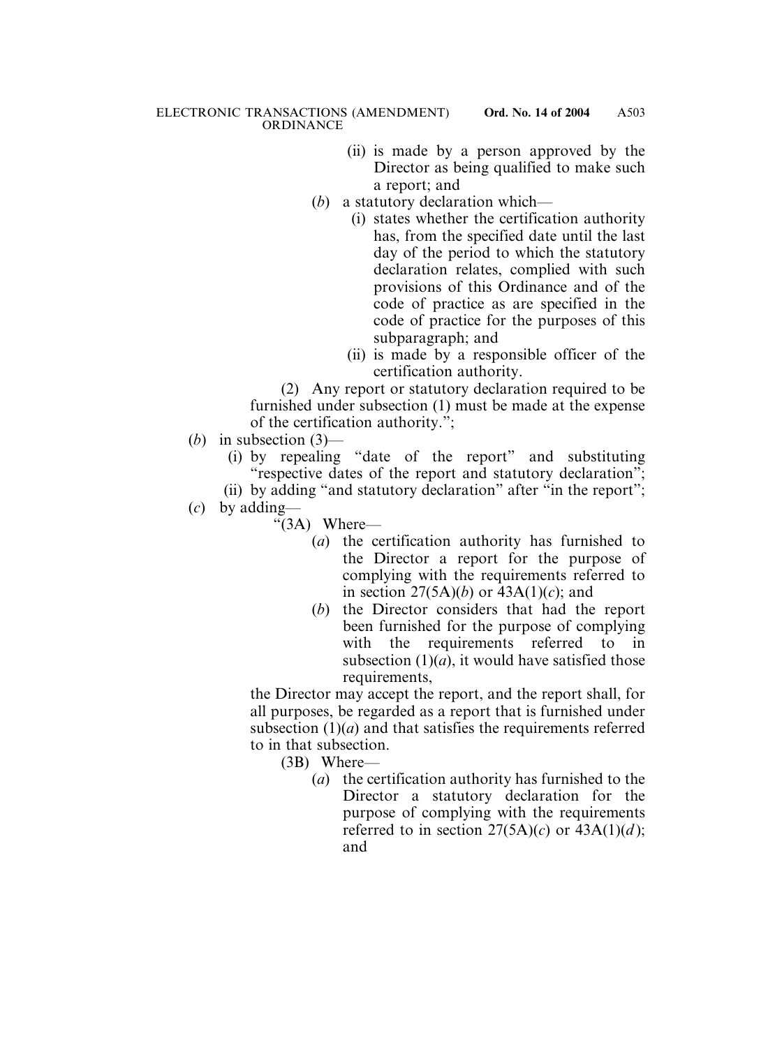- (ii) is made by a person approved by the Director as being qualified to make such a report; and
- (*b*) a statutory declaration which—
	- (i) states whether the certification authority has, from the specified date until the last day of the period to which the statutory declaration relates, complied with such provisions of this Ordinance and of the code of practice as are specified in the code of practice for the purposes of this subparagraph; and
	- (ii) is made by a responsible officer of the certification authority.

(2) Any report or statutory declaration required to be furnished under subsection (1) must be made at the expense of the certification authority.";

- (*b*) in subsection (3)—
	- (i) by repealing "date of the report" and substituting "respective dates of the report and statutory declaration";

(ii) by adding "and statutory declaration" after "in the report";

- (*c*) by adding—
	- " $(3A)$  Where—
		- (*a*) the certification authority has furnished to the Director a report for the purpose of complying with the requirements referred to in section  $27(5A)(b)$  or  $43A(1)(c)$ ; and
		- (*b*) the Director considers that had the report been furnished for the purpose of complying with the requirements referred to in subsection  $(1)(a)$ , it would have satisfied those requirements,

the Director may accept the report, and the report shall, for all purposes, be regarded as a report that is furnished under subsection  $(1)(a)$  and that satisfies the requirements referred to in that subsection.

(3B) Where—

(*a*) the certification authority has furnished to the Director a statutory declaration for the purpose of complying with the requirements referred to in section  $27(5A)(c)$  or  $43A(1)(d)$ ; and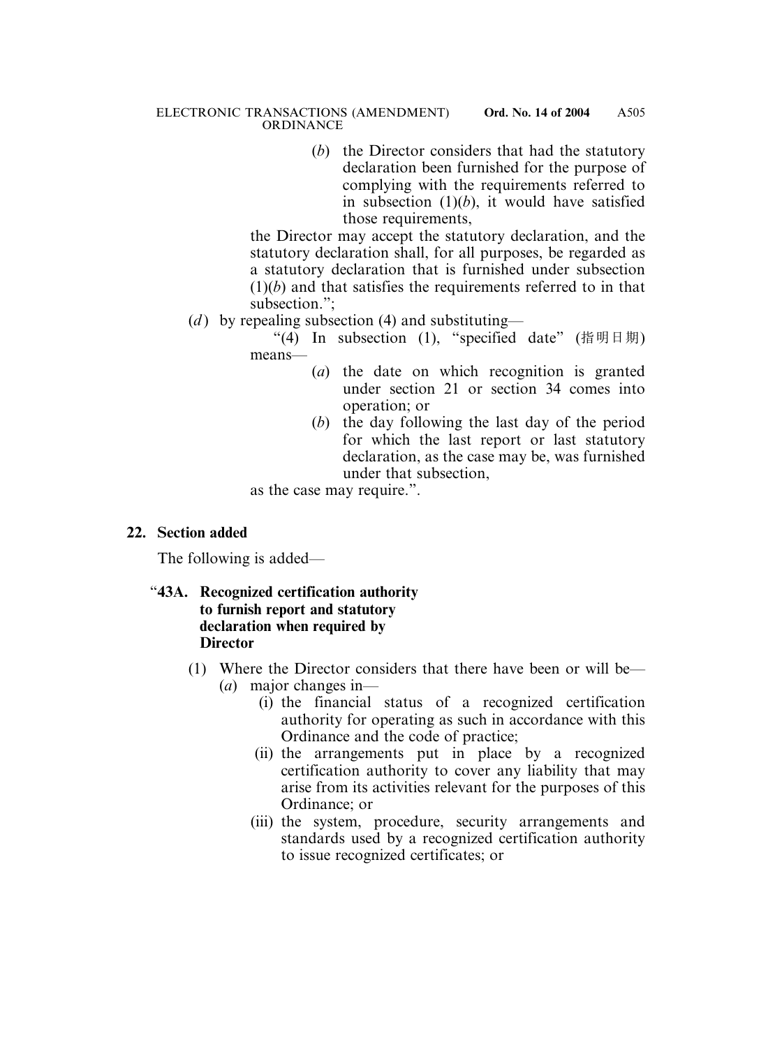(*b*) the Director considers that had the statutory declaration been furnished for the purpose of complying with the requirements referred to in subsection  $(1)(b)$ , it would have satisfied those requirements,

the Director may accept the statutory declaration, and the statutory declaration shall, for all purposes, be regarded as a statutory declaration that is furnished under subsection  $(1)(b)$  and that satisfies the requirements referred to in that subsection.";

(*d*) by repealing subsection (4) and substituting—

"(4) In subsection (1), "specified date" (指明日期) means—

- (*a*) the date on which recognition is granted under section 21 or section 34 comes into operation; or
- (*b*) the day following the last day of the period for which the last report or last statutory declaration, as the case may be, was furnished under that subsection,

as the case may require.".

#### **22. Section added**

The following is added—

## "**43A. Recognized certification authority to furnish report and statutory declaration when required by Director**

- (1) Where the Director considers that there have been or will be— (*a*) major changes in—
	- (i) the financial status of a recognized certification authority for operating as such in accordance with this Ordinance and the code of practice;
	- (ii) the arrangements put in place by a recognized certification authority to cover any liability that may arise from its activities relevant for the purposes of this Ordinance; or
	- (iii) the system, procedure, security arrangements and standards used by a recognized certification authority to issue recognized certificates; or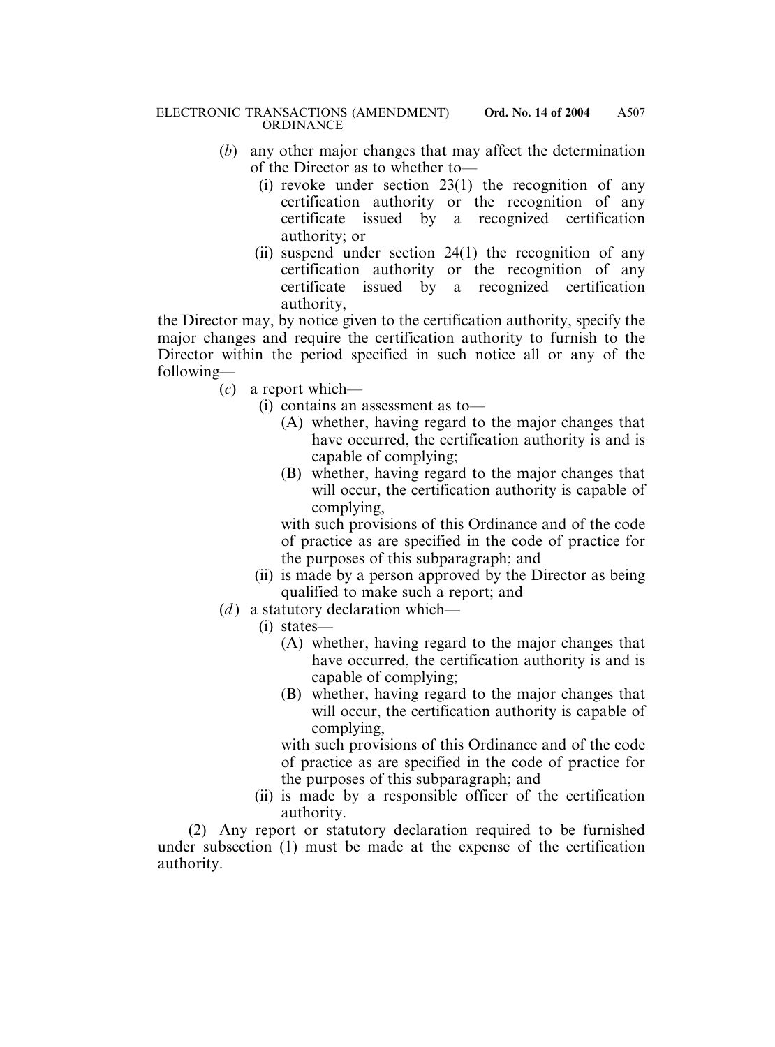- (*b*) any other major changes that may affect the determination of the Director as to whether to—
	- (i) revoke under section 23(1) the recognition of any certification authority or the recognition of any certificate issued by a recognized certification authority; or
	- (ii) suspend under section 24(1) the recognition of any certification authority or the recognition of any certificate issued by a recognized certification authority,

the Director may, by notice given to the certification authority, specify the major changes and require the certification authority to furnish to the Director within the period specified in such notice all or any of the following—

- (*c*) a report which—
	- (i) contains an assessment as to—
		- (A) whether, having regard to the major changes that have occurred, the certification authority is and is capable of complying;
		- (B) whether, having regard to the major changes that will occur, the certification authority is capable of complying,

with such provisions of this Ordinance and of the code of practice as are specified in the code of practice for the purposes of this subparagraph; and

- (ii) is made by a person approved by the Director as being qualified to make such a report; and
- (*d*) a statutory declaration which—
	- (i) states—
		- (A) whether, having regard to the major changes that have occurred, the certification authority is and is capable of complying;
		- (B) whether, having regard to the major changes that will occur, the certification authority is capable of complying,

with such provisions of this Ordinance and of the code of practice as are specified in the code of practice for the purposes of this subparagraph; and

(ii) is made by a responsible officer of the certification authority.

(2) Any report or statutory declaration required to be furnished under subsection (1) must be made at the expense of the certification authority.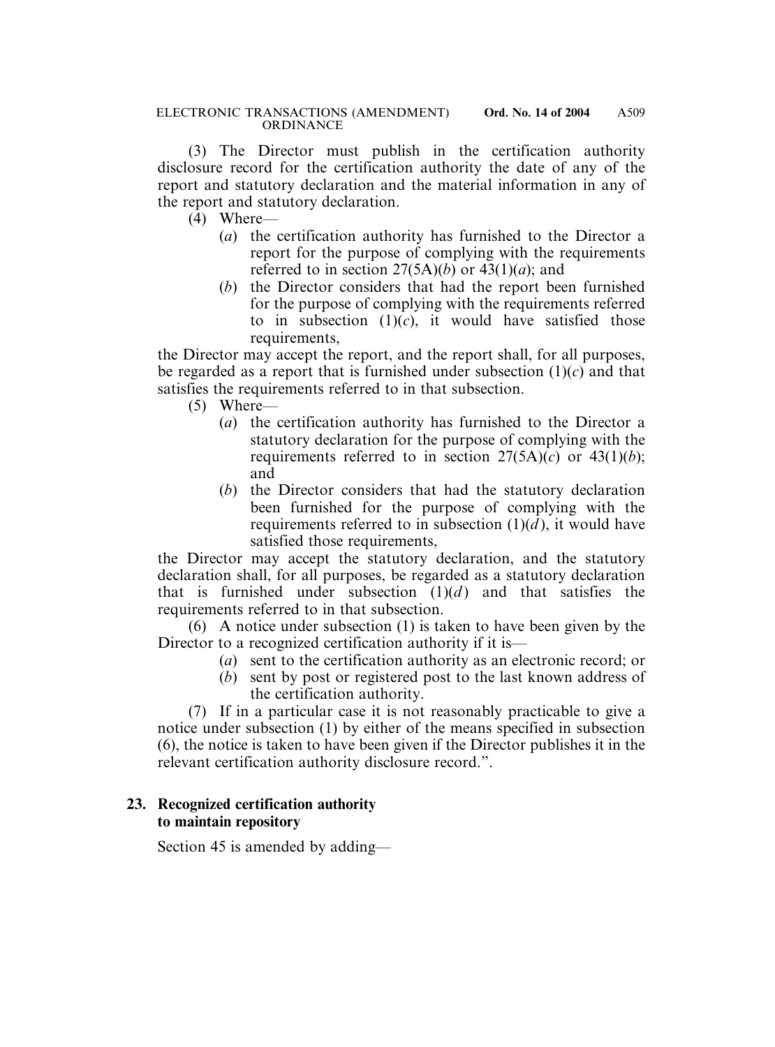(3) The Director must publish in the certification authority disclosure record for the certification authority the date of any of the report and statutory declaration and the material information in any of the report and statutory declaration.

- (4) Where—
	- (*a*) the certification authority has furnished to the Director a report for the purpose of complying with the requirements referred to in section  $27(5A)(b)$  or  $43(1)(a)$ ; and
	- (*b*) the Director considers that had the report been furnished for the purpose of complying with the requirements referred to in subsection  $(1)(c)$ , it would have satisfied those requirements.

the Director may accept the report, and the report shall, for all purposes, be regarded as a report that is furnished under subsection (1)(*c*) and that satisfies the requirements referred to in that subsection.

- (5) Where—
	- (*a*) the certification authority has furnished to the Director a statutory declaration for the purpose of complying with the requirements referred to in section  $27(5A)(c)$  or  $43(1)(b)$ ; and
	- (*b*) the Director considers that had the statutory declaration been furnished for the purpose of complying with the requirements referred to in subsection  $(1)(d)$ , it would have satisfied those requirements.

the Director may accept the statutory declaration, and the statutory declaration shall, for all purposes, be regarded as a statutory declaration that is furnished under subsection  $(1)(d)$  and that satisfies the requirements referred to in that subsection.

(6) A notice under subsection (1) is taken to have been given by the Director to a recognized certification authority if it is—

- (*a*) sent to the certification authority as an electronic record; or
- (*b*) sent by post or registered post to the last known address of the certification authority.

(7) If in a particular case it is not reasonably practicable to give a notice under subsection (1) by either of the means specified in subsection (6), the notice is taken to have been given if the Director publishes it in the relevant certification authority disclosure record.".

## **23. Recognized certification authority to maintain repository**

Section 45 is amended by adding—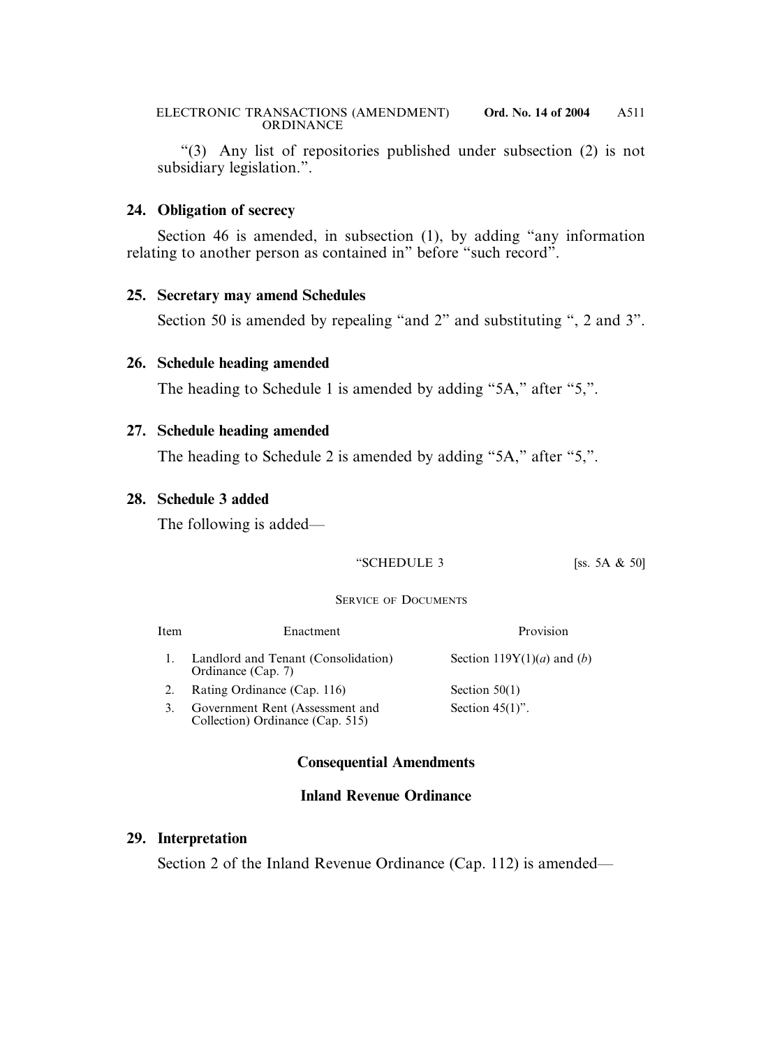"(3) Any list of repositories published under subsection (2) is not subsidiary legislation.".

#### **24. Obligation of secrecy**

Section 46 is amended, in subsection (1), by adding "any information relating to another person as contained in" before "such record".

### **25. Secretary may amend Schedules**

Section 50 is amended by repealing "and 2" and substituting ", 2 and 3".

## **26. Schedule heading amended**

The heading to Schedule 1 is amended by adding "5A," after "5,".

## **27. Schedule heading amended**

The heading to Schedule 2 is amended by adding "5A," after "5,".

### **28. Schedule 3 added**

The following is added—

#### "SCHEDULE 3  $[ss. 5A & 50]$

#### SERVICE OF DOCUMENTS

| Item | Enactment                                                           | Provision                                    |
|------|---------------------------------------------------------------------|----------------------------------------------|
|      | Landlord and Tenant (Consolidation)<br>Ordinance (Cap. 7)           | Section 119Y(1)( <i>a</i> ) and ( <i>b</i> ) |
|      | Rating Ordinance (Cap. 116)                                         | Section $50(1)$                              |
|      | Government Rent (Assessment and<br>Collection) Ordinance (Cap. 515) | Section $45(1)$ ".                           |

## **Consequential Amendments**

## **Inland Revenue Ordinance**

## **29. Interpretation**

Section 2 of the Inland Revenue Ordinance (Cap. 112) is amended—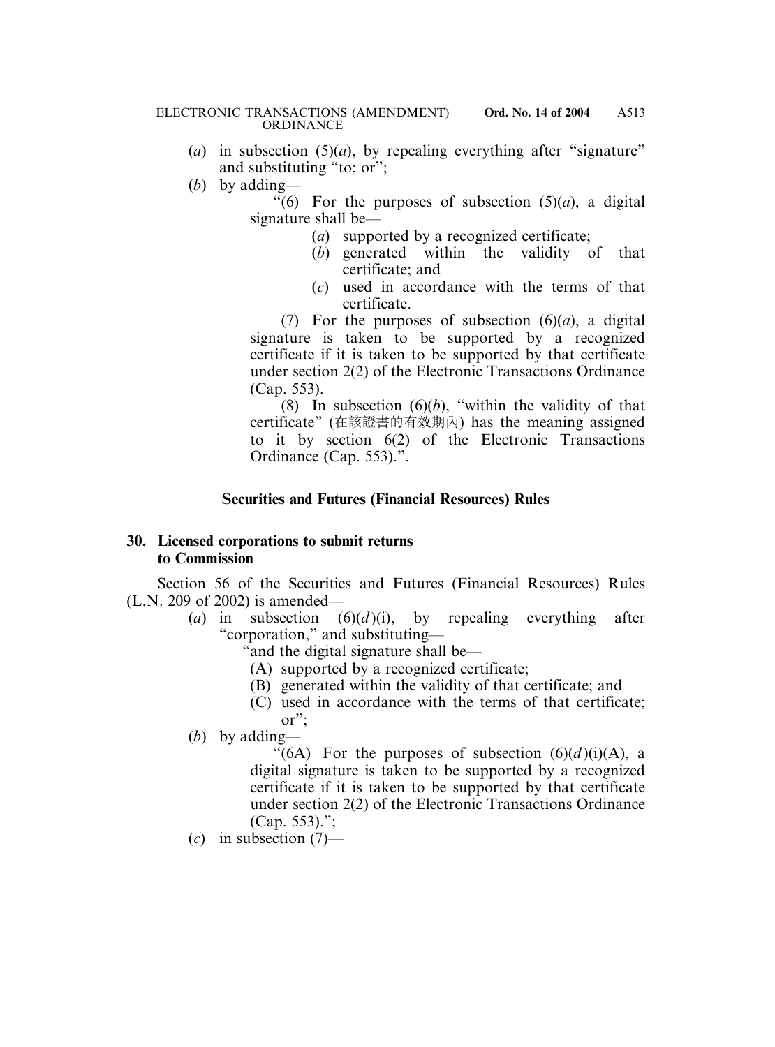- (*a*) in subsection  $(5)(a)$ , by repealing everything after "signature" and substituting "to; or";
- (*b*) by adding—

"(6) For the purposes of subsection  $(5)(a)$ , a digital signature shall be—

- (*a*) supported by a recognized certificate;
- (*b*) generated within the validity of that certificate; and
- (*c*) used in accordance with the terms of that certificate.

(7) For the purposes of subsection  $(6)(a)$ , a digital signature is taken to be supported by a recognized certificate if it is taken to be supported by that certificate under section 2(2) of the Electronic Transactions Ordinance (Cap. 553).

(8) In subsection  $(6)(b)$ , "within the validity of that certificate" (在該證書的有效期內) has the meaning assigned to it by section 6(2) of the Electronic Transactions Ordinance (Cap. 553).".

### **Securities and Futures (Financial Resources) Rules**

### **30. Licensed corporations to submit returns to Commission**

Section 56 of the Securities and Futures (Financial Resources) Rules (L.N. 209 of 2002) is amended—

- (*a*) in subsection (6)(*d* )(i), by repealing everything after "corporation," and substituting—
	- "and the digital signature shall be—
		- (A) supported by a recognized certificate;
		- (B) generated within the validity of that certificate; and
	- (C) used in accordance with the terms of that certificate; or";

(*b*) by adding—

"(6A) For the purposes of subsection  $(6)(d)(i)(A)$ , a digital signature is taken to be supported by a recognized certificate if it is taken to be supported by that certificate under section 2(2) of the Electronic Transactions Ordinance (Cap. 553).";

(*c*) in subsection (7)—